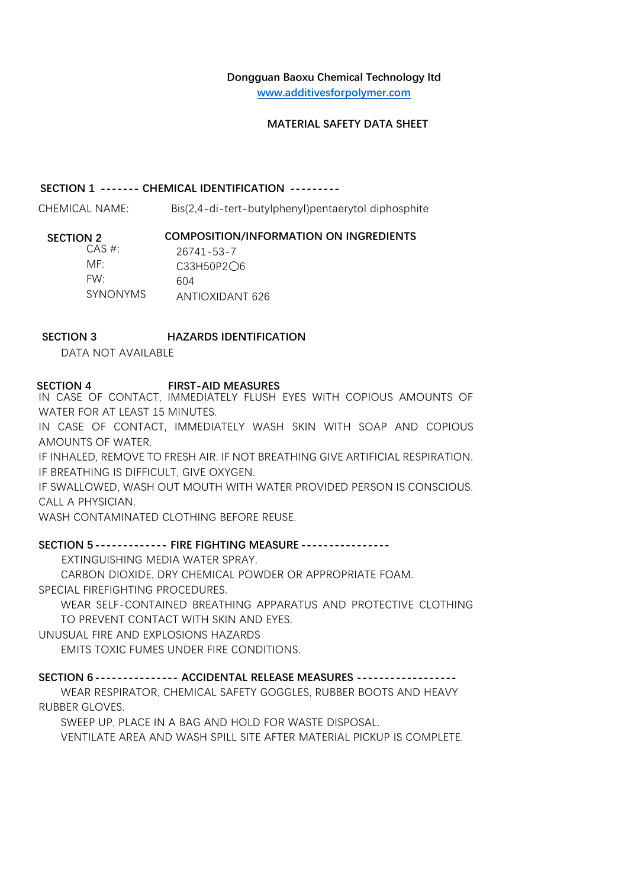# **Dongguan Baoxu Chemical Technology ltd**

**[www.additivesforpolymer.com](http://www.sunychem.com/)**

## **MATERIAL SAFETY DATA SHEET**

### **SECTION 1 ------- CHEMICAL IDENTIFICATION ---------**

CHEMICAL NAME: Bis(2,4-di-tert-butylphenyl)pentaerytol diphosphite

## **SECTION 2 COMPOSITION/INFORMATION ON INGREDIENTS**

| CAS #:          | 26741-53-7      |
|-----------------|-----------------|
| MF <sup>.</sup> | C33H50P2O6      |
| FW·             | 604             |
| <b>SYNONYMS</b> | ANTIOXIDANT 626 |

# **SECTION 3 HAZARDS IDENTIFICATION**

DATA NOT AVAILABLE

# **SECTION 4 FIRST-AID MEASURES**

IN CASE OF CONTACT, IMMEDIATELY FLUSH EYES WITH COPIOUS AMOUNTS OF WATER FOR AT LEAST 15 MINUTES.

IN CASE OF CONTACT, IMMEDIATELY WASH SKIN WITH SOAP AND COPIOUS AMOUNTS OF WATER.

IF INHALED, REMOVE TO FRESH AIR. IF NOT BREATHING GIVE ARTIFICIAL RESPIRATION. IF BREATHING IS DIFFICULT, GIVE OXYGEN.

IF SWALLOWED, WASH OUT MOUTH WITH WATER PROVIDED PERSON IS CONSCIOUS. CALL A PHYSICIAN.

WASH CONTAMINATED CLOTHING BEFORE REUSE.

# **SECTION 5------------- FIRE FIGHTING MEASURE ----------------**

EXTINGUISHING MEDIA WATER SPRAY.

CARBON DIOXIDE, DRY CHEMICAL POWDER OR APPROPRIATE FOAM. SPECIAL FIREFIGHTING PROCEDURES.

WEAR SELF-CONTAINED BREATHING APPARATUS AND PROTECTIVE CLOTHING TO PREVENT CONTACT WITH SKIN AND EYES.

UNUSUAL FIRE AND EXPLOSIONS HAZARDS

EMITS TOXIC FUMES UNDER FIRE CONDITIONS.

### **SECTION 6--------------- ACCIDENTAL RELEASE MEASURES ------------------**

WEAR RESPIRATOR, CHEMICAL SAFETY GOGGLES, RUBBER BOOTS AND HEAVY RUBBER GLOVES.

SWEEP UP, PLACE IN A BAG AND HOLD FOR WASTE DISPOSAL.

VENTILATE AREA AND WASH SPILL SITE AFTER MATERIAL PICKUP IS COMPLETE.